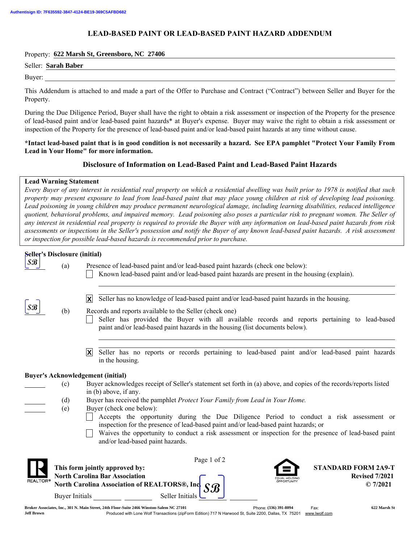# LEAD-BASED PAINT OR LEAD-BASED PAINT HAZARD ADDENDUM

### Property: **622 Marsh St, Greensboro, NC 27406**

Buyer:

This Addendum is attached to and made a part of the Offer to Purchase and Contract ("Contract") between Seller and Buyer for the Property.

During the Due Diligence Period, Buyer shall have the right to obtain a risk assessment or inspection of the Property for the presence of lead-based paint and/or lead-based paint hazards\* at Buyer's expense. Buyer may waive the right to obtain a risk assessment or inspection of the Property for the presence of lead-based paint and/or lead-based paint hazards at any time without cause.

### \*Intact lead-based paint that is in good condition is not necessarily a hazard. See EPA pamphlet "Protect Your Family From Lead in Your Home" for more information.

## Disclosure of Information on Lead-Based Paint and Lead-Based Paint Hazards

## Lead Warning Statement

*Every Buyer of any interest in residential real property on which a residential dwelling was built prior to 1978 is notified that such property may present exposure to lead from lead-based paint that may place young children at risk of developing lead poisoning. Lead poisoning in young children may produce permanent neurological damage, including learning disabilities, reduced intelligence quotient, behavioral problems, and impaired memory. Lead poisoning also poses a particular risk to pregnant women. The Seller of any interest in residential real property is required to provide the Buyer with any information on lead-based paint hazards from risk assessments or inspections in the Seller's possession and notify the Buyer of any known lead-based paint hazards. A risk assessment or inspection for possible lead-based hazards is recommended prior to purchase.*

| Seller's Disclosure (initial)            |                                                                                                                                                                                                                                                                                                                                                                 |                                                                                                                                                                                                                                                                                                                                                           |  |
|------------------------------------------|-----------------------------------------------------------------------------------------------------------------------------------------------------------------------------------------------------------------------------------------------------------------------------------------------------------------------------------------------------------------|-----------------------------------------------------------------------------------------------------------------------------------------------------------------------------------------------------------------------------------------------------------------------------------------------------------------------------------------------------------|--|
| $ \mathcal{S}\mathcal{B} $               | (a)                                                                                                                                                                                                                                                                                                                                                             | Presence of lead-based paint and/or lead-based paint hazards (check one below):<br>Known lead-based paint and/or lead-based paint hazards are present in the housing (explain).                                                                                                                                                                           |  |
| $\mathcal{S}\mathcal{B}$                 | (b)                                                                                                                                                                                                                                                                                                                                                             | Seller has no knowledge of lead-based paint and/or lead-based paint hazards in the housing.<br>$ \mathsf{X} $<br>Records and reports available to the Seller (check one)<br>Seller has provided the Buyer with all available records and reports pertaining to lead-based<br>paint and/or lead-based paint hazards in the housing (list documents below). |  |
|                                          |                                                                                                                                                                                                                                                                                                                                                                 | Seller has no reports or records pertaining to lead-based paint and/or lead-based paint hazards<br>$ \mathsf{X} $<br>in the housing.                                                                                                                                                                                                                      |  |
| <b>Buyer's Acknowledgement (initial)</b> |                                                                                                                                                                                                                                                                                                                                                                 |                                                                                                                                                                                                                                                                                                                                                           |  |
|                                          | (c)                                                                                                                                                                                                                                                                                                                                                             | Buyer acknowledges receipt of Seller's statement set forth in (a) above, and copies of the records/reports listed                                                                                                                                                                                                                                         |  |
|                                          |                                                                                                                                                                                                                                                                                                                                                                 | in (b) above, if any.                                                                                                                                                                                                                                                                                                                                     |  |
|                                          | (d)                                                                                                                                                                                                                                                                                                                                                             | Buyer has received the pamphlet Protect Your Family from Lead in Your Home.                                                                                                                                                                                                                                                                               |  |
|                                          | Buyer (check one below):<br>(e)<br>Accepts the opportunity during the Due Diligence Period to conduct a risk assessment or<br>inspection for the presence of lead-based paint and/or lead-based paint hazards; or<br>Waives the opportunity to conduct a risk assessment or inspection for the presence of lead-based paint<br>and/or lead-based paint hazards. |                                                                                                                                                                                                                                                                                                                                                           |  |
| <b>REALTOR®</b>                          | <b>Buyer Initials</b>                                                                                                                                                                                                                                                                                                                                           | Page 1 of 2<br>This form jointly approved by:<br><b>STANDARD FORM 2A9-T</b><br><b>North Carolina Bar Association</b><br><b>Revised 7/2021</b><br>North Carolina Association of REALTORS <sup>®</sup> , Inc<br>© 7/2021<br>$\mathcal{S}\mathcal{B}$<br>Seller Initials                                                                                     |  |
|                                          |                                                                                                                                                                                                                                                                                                                                                                 | a work was a considerable with                                                                                                                                                                                                                                                                                                                            |  |

Phone: (336) 391-8094 Fax: Produced with Lone Wolf Transactions (zipForm Edition) 717 N Harwood St, Suite 2200, Dallas, TX 75201 www.lwolf.com **Broker Associates, Inc., 301 N. Main Street, 24th Floor-Suite 2466 Winston-Salem NC 27101 (336) 391-8094 622 Marsh St Jeff Brown**